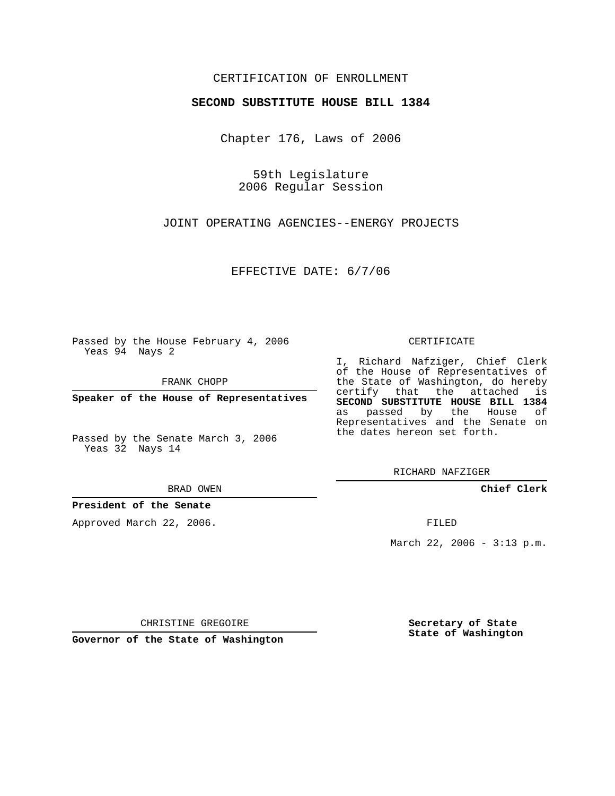## CERTIFICATION OF ENROLLMENT

### **SECOND SUBSTITUTE HOUSE BILL 1384**

Chapter 176, Laws of 2006

59th Legislature 2006 Regular Session

JOINT OPERATING AGENCIES--ENERGY PROJECTS

EFFECTIVE DATE: 6/7/06

Passed by the House February 4, 2006 Yeas 94 Nays 2

FRANK CHOPP

**Speaker of the House of Representatives**

Passed by the Senate March 3, 2006 Yeas 32 Nays 14

#### BRAD OWEN

### **President of the Senate**

Approved March 22, 2006.

### CERTIFICATE

I, Richard Nafziger, Chief Clerk of the House of Representatives of the State of Washington, do hereby certify that the attached is **SECOND SUBSTITUTE HOUSE BILL 1384** as passed by the House of Representatives and the Senate on the dates hereon set forth.

RICHARD NAFZIGER

**Chief Clerk**

FILED

March 22, 2006 - 3:13 p.m.

CHRISTINE GREGOIRE

**Governor of the State of Washington**

**Secretary of State State of Washington**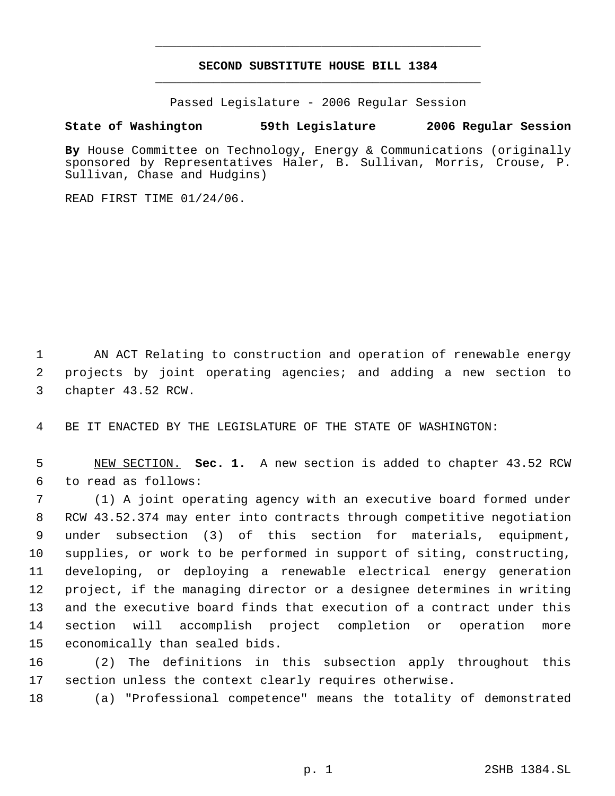# **SECOND SUBSTITUTE HOUSE BILL 1384** \_\_\_\_\_\_\_\_\_\_\_\_\_\_\_\_\_\_\_\_\_\_\_\_\_\_\_\_\_\_\_\_\_\_\_\_\_\_\_\_\_\_\_\_\_

\_\_\_\_\_\_\_\_\_\_\_\_\_\_\_\_\_\_\_\_\_\_\_\_\_\_\_\_\_\_\_\_\_\_\_\_\_\_\_\_\_\_\_\_\_

Passed Legislature - 2006 Regular Session

## **State of Washington 59th Legislature 2006 Regular Session**

**By** House Committee on Technology, Energy & Communications (originally sponsored by Representatives Haler, B. Sullivan, Morris, Crouse, P. Sullivan, Chase and Hudgins)

READ FIRST TIME 01/24/06.

 AN ACT Relating to construction and operation of renewable energy projects by joint operating agencies; and adding a new section to chapter 43.52 RCW.

BE IT ENACTED BY THE LEGISLATURE OF THE STATE OF WASHINGTON:

 NEW SECTION. **Sec. 1.** A new section is added to chapter 43.52 RCW to read as follows:

 (1) A joint operating agency with an executive board formed under RCW 43.52.374 may enter into contracts through competitive negotiation under subsection (3) of this section for materials, equipment, supplies, or work to be performed in support of siting, constructing, developing, or deploying a renewable electrical energy generation project, if the managing director or a designee determines in writing and the executive board finds that execution of a contract under this section will accomplish project completion or operation more economically than sealed bids.

 (2) The definitions in this subsection apply throughout this section unless the context clearly requires otherwise.

(a) "Professional competence" means the totality of demonstrated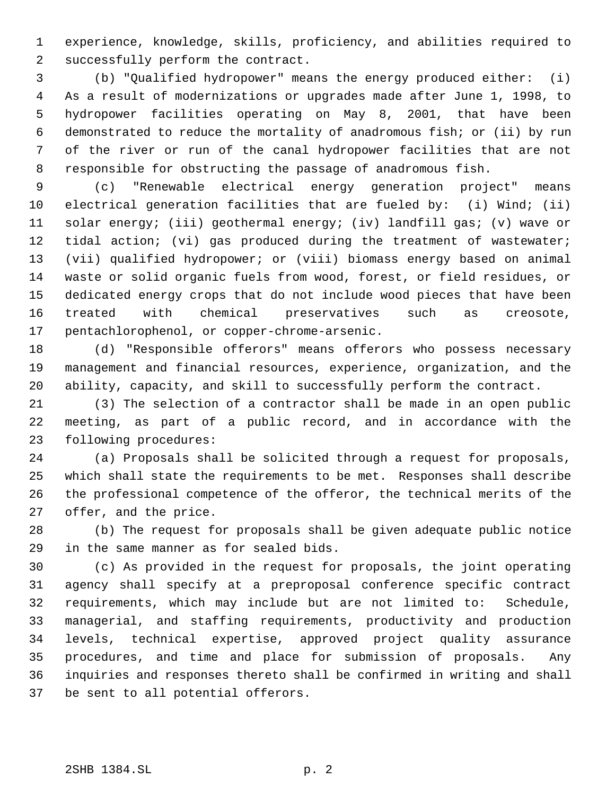experience, knowledge, skills, proficiency, and abilities required to successfully perform the contract.

 (b) "Qualified hydropower" means the energy produced either: (i) As a result of modernizations or upgrades made after June 1, 1998, to hydropower facilities operating on May 8, 2001, that have been demonstrated to reduce the mortality of anadromous fish; or (ii) by run of the river or run of the canal hydropower facilities that are not responsible for obstructing the passage of anadromous fish.

 (c) "Renewable electrical energy generation project" means electrical generation facilities that are fueled by: (i) Wind; (ii) solar energy; (iii) geothermal energy; (iv) landfill gas; (v) wave or 12 tidal action; (vi) gas produced during the treatment of wastewater; (vii) qualified hydropower; or (viii) biomass energy based on animal waste or solid organic fuels from wood, forest, or field residues, or dedicated energy crops that do not include wood pieces that have been treated with chemical preservatives such as creosote, pentachlorophenol, or copper-chrome-arsenic.

 (d) "Responsible offerors" means offerors who possess necessary management and financial resources, experience, organization, and the ability, capacity, and skill to successfully perform the contract.

 (3) The selection of a contractor shall be made in an open public meeting, as part of a public record, and in accordance with the following procedures:

 (a) Proposals shall be solicited through a request for proposals, which shall state the requirements to be met. Responses shall describe the professional competence of the offeror, the technical merits of the offer, and the price.

 (b) The request for proposals shall be given adequate public notice in the same manner as for sealed bids.

 (c) As provided in the request for proposals, the joint operating agency shall specify at a preproposal conference specific contract requirements, which may include but are not limited to: Schedule, managerial, and staffing requirements, productivity and production levels, technical expertise, approved project quality assurance procedures, and time and place for submission of proposals. Any inquiries and responses thereto shall be confirmed in writing and shall be sent to all potential offerors.